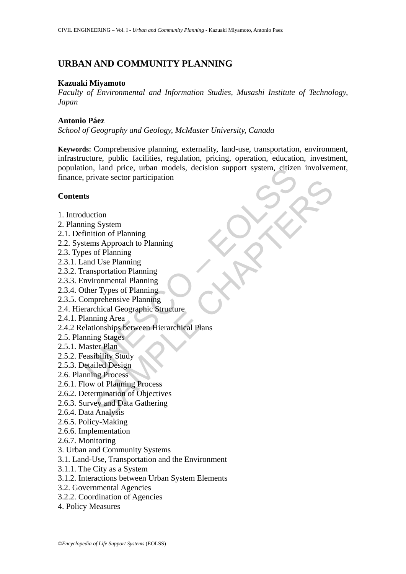# **URBAN AND COMMUNITY PLANNING**

#### **Kazuaki Miyamoto**

*Faculty of Environmental and Information Studies, Musashi Institute of Technology, Japan*

#### **Antonio Páez**

*School of Geography and Geology, McMaster University, Canada* 

on, land price, urban models, decision support system, citize<br>
private sector participation<br>
ts<br>
ts<br>
duction<br>
tis<br>
duction<br>
ts<br>
duction<br>
ts<br>
duction<br>
ts<br>
duction<br>
ts<br>
duction<br>
of Planning<br>
etems Approach to Planning<br>
and U **Keywords:** Comprehensive planning, externality, land-use, transportation, environment, infrastructure, public facilities, regulation, pricing, operation, education, investment, population, land price, urban models, decision support system, citizen involvement, finance, private sector participation

#### **Contents**

- 1. Introduction
- 2. Planning System
- 2.1. Definition of Planning
- 2.2. Systems Approach to Planning
- 2.3. Types of Planning
- 2.3.1. Land Use Planning
- 2.3.2. Transportation Planning
- 2.3.3. Environmental Planning
- 2.3.4. Other Types of Planning
- 2.3.5. Comprehensive Planning
- 2.4. Hierarchical Geographic Structure
- 2.4.1. Planning Area
- Wate sector participation<br>
System<br>
tion of Planning<br>
SA Approach to Planning<br>
of Planning<br>
of Planning<br>
sportation Planning<br>
sportation Planning<br>
r Types of Planning<br>
r Types of Planning<br>
r Types of Planning<br>
prehensive Pl 2.4.2 Relationships between Hierarchical Plans
- 2.5. Planning Stages
- 2.5.1. Master Plan
- 2.5.2. Feasibility Study
- 2.5.3. Detailed Design
- 2.6. Planning Process
- 2.6.1. Flow of Planning Process
- 2.6.2. Determination of Objectives
- 2.6.3. Survey and Data Gathering
- 2.6.4. Data Analysis
- 2.6.5. Policy-Making
- 2.6.6. Implementation
- 2.6.7. Monitoring
- 3. Urban and Community Systems
- 3.1. Land-Use, Transportation and the Environment
- 3.1.1. The City as a System
- 3.1.2. Interactions between Urban System Elements
- 3.2. Governmental Agencies
- 3.2.2. Coordination of Agencies
- 4. Policy Measures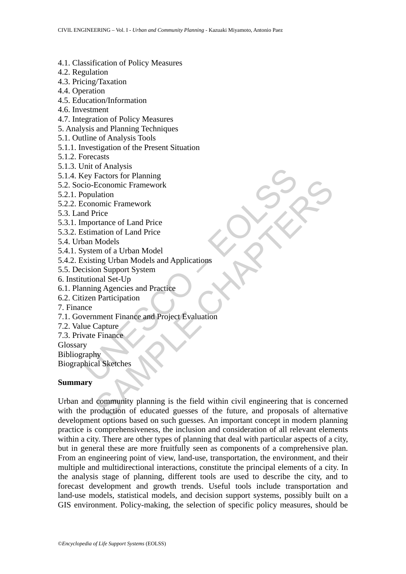- 4.1. Classification of Policy Measures
- 4.2. Regulation
- 4.3. Pricing/Taxation
- 4.4. Operation
- 4.5. Education/Information
- 4.6. Investment
- 4.7. Integration of Policy Measures
- 5. Analysis and Planning Techniques
- 5.1. Outline of Analysis Tools
- 5.1.1. Investigation of the Present Situation
- 5.1.2. Forecasts
- 5.1.3. Unit of Analysis
- 5.1.4. Key Factors for Planning
- 5.2. Socio-Economic Framework
- 5.2.1. Population
- 5.2.2. Economic Framework
- 5.3. Land Price
- 5.3.1. Importance of Land Price
- 5.3.2. Estimation of Land Price
- 5.4. Urban Models
- 5.4.1. System of a Urban Model
- 5.4.2. Existing Urban Models and Applications
- 5.5. Decision Support System
- 6. Institutional Set-Up
- 6.1. Planning Agencies and Practice
- 6.2. Citizen Participation
- 7. Finance
- muto Manayas<br>
iey Factors for Planning<br>
iey Factors for Planning<br>
operators for Planning<br>
operators of Land Price<br>
stimation of Land Price<br>
stimation of Land Price<br>
stimation of Land Price<br>
stimation of Land Price<br>
stimati 7.1. Government Finance and Project Evaluation
- 7.2. Value Capture
- 7.3. Private Finance
- Glossary
- Bibliography

Biographical Sketches

# **Summary**

Economic Framework<br>
llation<br>
Price<br>
There<br>
Models<br>
Models<br>
Models<br>
Models<br>
Models<br>
Models<br>
Models<br>
Models<br>
There and Price<br>
There and Project Evaluation<br>
There are Project Evaluation<br>
Capture<br>
Pricipation<br>
Capture<br>
Prinanc Urban and community planning is the field within civil engineering that is concerned with the production of educated guesses of the future, and proposals of alternative development options based on such guesses. An important concept in modern planning practice is comprehensiveness, the inclusion and consideration of all relevant elements within a city. There are other types of planning that deal with particular aspects of a city, but in general these are more fruitfully seen as components of a comprehensive plan. From an engineering point of view, land-use, transportation, the environment, and their multiple and multidirectional interactions, constitute the principal elements of a city. In the analysis stage of planning, different tools are used to describe the city, and to forecast development and growth trends. Useful tools include transportation and land-use models, statistical models, and decision support systems, possibly built on a GIS environment. Policy-making, the selection of specific policy measures, should be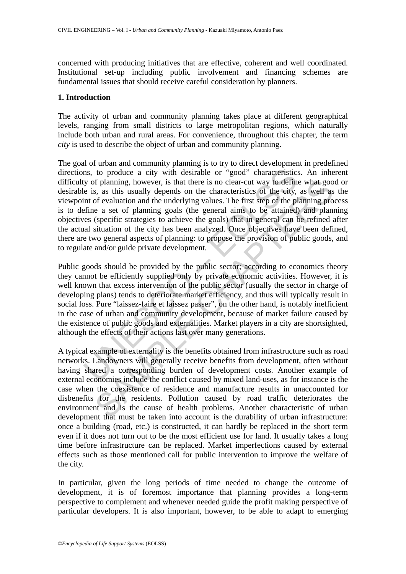concerned with producing initiatives that are effective, coherent and well coordinated. Institutional set-up including public involvement and financing schemes are fundamental issues that should receive careful consideration by planners.

#### **1. Introduction**

The activity of urban and community planning takes place at different geographical levels, ranging from small districts to large metropolitan regions, which naturally include both urban and rural areas. For convenience, throughout this chapter, the term *city* is used to describe the object of urban and community planning.

ns, to produce a city with desirable or "good" characteristics<br>y of planning, however, is that there is no clear-cut way to defining<br>e is, as this usually depends on the characteristics of the city,<br>inf of evaluation and t The goal of urban and community planning is to try to direct development in predefined directions, to produce a city with desirable or "good" characteristics. An inherent difficulty of planning, however, is that there is no clear-cut way to define what good or desirable is, as this usually depends on the characteristics of the city, as well as the viewpoint of evaluation and the underlying values. The first step of the planning process is to define a set of planning goals (the general aims to be attained) and planning objectives (specific strategies to achieve the goals) that in general can be refined after the actual situation of the city has been analyzed. Once objectives have been defined, there are two general aspects of planning: to propose the provision of public goods, and to regulate and/or guide private development.

of planning, however, is that there is no clear-cut way to define what goos, as this usually depends on the characteristics of the eity, as well as of of evaluation and the underlying values. The first step of the planning Public goods should be provided by the public sector; according to economics theory they cannot be efficiently supplied only by private economic activities. However, it is well known that excess intervention of the public sector (usually the sector in charge of developing plans) tends to deteriorate market efficiency, and thus will typically result in social loss. Pure "laissez-faire et laissez passer", on the other hand, is notably inefficient in the case of urban and community development, because of market failure caused by the existence of public goods and externalities. Market players in a city are shortsighted, although the effects of their actions last over many generations.

A typical example of externality is the benefits obtained from infrastructure such as road networks. Landowners will generally receive benefits from development, often without having shared a corresponding burden of development costs. Another example of external economies include the conflict caused by mixed land-uses, as for instance is the case when the coexistence of residence and manufacture results in unaccounted for disbenefits for the residents. Pollution caused by road traffic deteriorates the environment and is the cause of health problems. Another characteristic of urban development that must be taken into account is the durability of urban infrastructure: once a building (road, etc.) is constructed, it can hardly be replaced in the short term even if it does not turn out to be the most efficient use for land. It usually takes a long time before infrastructure can be replaced. Market imperfections caused by external effects such as those mentioned call for public intervention to improve the welfare of the city.

In particular, given the long periods of time needed to change the outcome of development, it is of foremost importance that planning provides a long-term perspective to complement and whenever needed guide the profit making perspective of particular developers. It is also important, however, to be able to adapt to emerging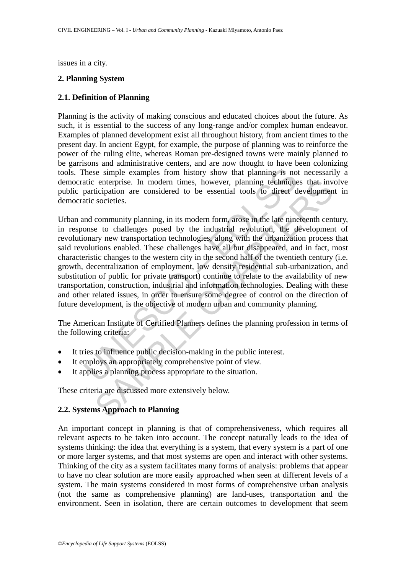issues in a city.

#### **2. Planning System**

#### **2.1. Definition of Planning**

Planning is the activity of making conscious and educated choices about the future. As such, it is essential to the success of any long-range and/or complex human endeavor. Examples of planned development exist all throughout history, from ancient times to the present day. In ancient Egypt, for example, the purpose of planning was to reinforce the power of the ruling elite, whereas Roman pre-designed towns were mainly planned to be garrisons and administrative centers, and are now thought to have been colonizing tools. These simple examples from history show that planning is not necessarily a democratic enterprise. In modern times, however, planning techniques that involve public participation are considered to be essential tools to direct development in democratic societies.

These simple examples from history show that planning is notatic enterprise. In modern times, however, planning technique participation are considered to be essential tools to direct duction and community planning, in its enterprise. In modern times, however, planning techniques that inverticipation are considered to be essential tools to direct developmen societies.<br>
community planning, in its modern form, arose in the late nineteenth cent Urban and community planning, in its modern form, arose in the late nineteenth century, in response to challenges posed by the industrial revolution, the development of revolutionary new transportation technologies, along with the urbanization process that said revolutions enabled. These challenges have all but disappeared, and in fact, most characteristic changes to the western city in the second half of the twentieth century (i.e. growth, decentralization of employment, low density residential sub-urbanization, and substitution of public for private transport) continue to relate to the availability of new transportation, construction, industrial and information technologies. Dealing with these and other related issues, in order to ensure some degree of control on the direction of future development, is the objective of modern urban and community planning.

The American Institute of Certified Planners defines the planning profession in terms of the following criteria:

- It tries to influence public decision-making in the public interest.
- It employs an appropriately comprehensive point of view.
- It applies a planning process appropriate to the situation.

These criteria are discussed more extensively below.

# **2.2. Systems Approach to Planning**

An important concept in planning is that of comprehensiveness, which requires all relevant aspects to be taken into account. The concept naturally leads to the idea of systems thinking: the idea that everything is a system, that every system is a part of one or more larger systems, and that most systems are open and interact with other systems. Thinking of the city as a system facilitates many forms of analysis: problems that appear to have no clear solution are more easily approached when seen at different levels of a system. The main systems considered in most forms of comprehensive urban analysis (not the same as comprehensive planning) are land-uses, transportation and the environment. Seen in isolation, there are certain outcomes to development that seem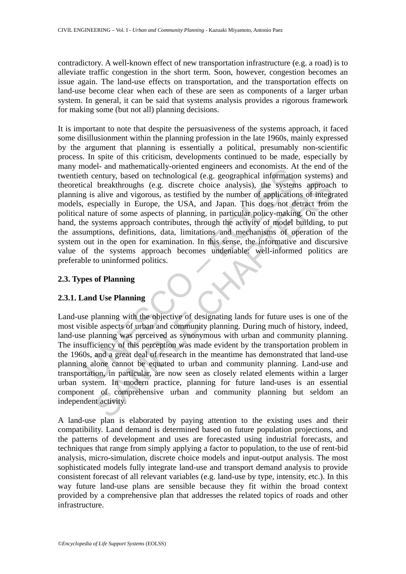contradictory. A well-known effect of new transportation infrastructure (e.g. a road) is to alleviate traffic congestion in the short term. Soon, however, congestion becomes an issue again. The land-use effects on transportation, and the transportation effects on land-use become clear when each of these are seen as components of a larger urban system. In general, it can be said that systems analysis provides a rigorous framework for making some (but not all) planning decisions.

other and mathematical any-other dengineers and economists. And<br>the century, based on technological (e.g. geographical information<br>cal breakthroughs (e.g. discrete choice analysis), the system<br>g is alive and vigorous, as t It is important to note that despite the persuasiveness of the systems approach, it faced some disillusionment within the planning profession in the late 1960s, mainly expressed by the argument that planning is essentially a political, presumably non-scientific process. In spite of this criticism, developments continued to be made, especially by many model- and mathematically-oriented engineers and economists. At the end of the twentieth century, based on technological (e.g. geographical information systems) and theoretical breakthroughs (e.g. discrete choice analysis), the systems approach to planning is alive and vigorous, as testified by the number of applications of integrated models, especially in Europe, the USA, and Japan. This does not detract from the political nature of some aspects of planning, in particular policy-making. On the other hand, the systems approach contributes, through the activity of model building, to put the assumptions, definitions, data, limitations and mechanisms of operation of the system out in the open for examination. In this sense, the informative and discursive value of the systems approach becomes undeniable: well-informed politics are preferable to uninformed politics.

# **2.3. Types of Planning**

# **2.3.1. Land Use Planning**

breakthroughs (e.g. discrete choice analysis), the systems approacl<br>alive and vigorous, as testified by the number of applications of integrecially in Europe, the USA, and Japan. This does not detract from<br>tuture of some a Land-use planning with the objective of designating lands for future uses is one of the most visible aspects of urban and community planning. During much of history, indeed, land-use planning was perceived as synonymous with urban and community planning. The insufficiency of this perception was made evident by the transportation problem in the 1960s, and a great deal of research in the meantime has demonstrated that land-use planning alone cannot be equated to urban and community planning. Land-use and transportation, in particular, are now seen as closely related elements within a larger urban system. In modern practice, planning for future land-uses is an essential component of comprehensive urban and community planning but seldom an independent activity.

A land-use plan is elaborated by paying attention to the existing uses and their compatibility. Land demand is determined based on future population projections, and the patterns of development and uses are forecasted using industrial forecasts, and techniques that range from simply applying a factor to population, to the use of rent-bid analysis, micro-simulation, discrete choice models and input-output analysis. The most sophisticated models fully integrate land-use and transport demand analysis to provide consistent forecast of all relevant variables (e.g. land-use by type, intensity, etc.). In this way future land-use plans are sensible because they fit within the broad context provided by a comprehensive plan that addresses the related topics of roads and other infrastructure.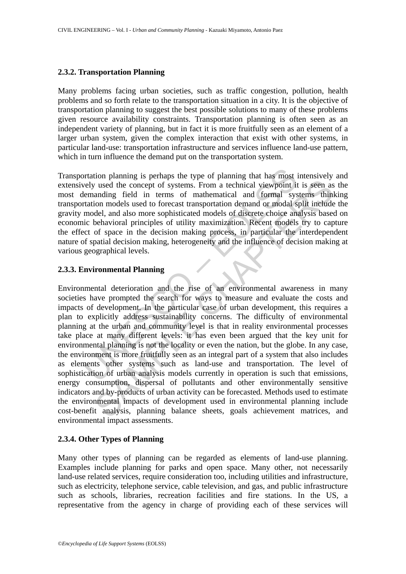#### **2.3.2. Transportation Planning**

Many problems facing urban societies, such as traffic congestion, pollution, health problems and so forth relate to the transportation situation in a city. It is the objective of transportation planning to suggest the best possible solutions to many of these problems given resource availability constraints. Transportation planning is often seen as an independent variety of planning, but in fact it is more fruitfully seen as an element of a larger urban system, given the complex interaction that exist with other systems, in particular land-use: transportation infrastructure and services influence land-use pattern, which in turn influence the demand put on the transportation system.

Transportation planning is perhaps the type of planning that has most intensively and extensively used the concept of systems. From a technical viewpoint it is seen as the most demanding field in terms of mathematical and formal systems thinking transportation models used to forecast transportation demand or modal split include the gravity model, and also more sophisticated models of discrete choice analysis based on economic behavioral principles of utility maximization. Recent models try to capture the effect of space in the decision making process, in particular the interdependent nature of spatial decision making, heterogeneity and the influence of decision making at various geographical levels.

# **2.3.3. Environmental Planning**

ortation planning is perhaps the type of planning that has most rely used the concept of systems. From a technical viewpoint it lemanding field in terms of mathematical and formal systemation models used to forecast transp is used the concept of systems. From a technical viewpoint it is seen as<br>anding field in terms of mathematical and formal systems thin<br>ion models used to forecast transportation demand or models spit included<br>del, and also Environmental deterioration and the rise of an environmental awareness in many societies have prompted the search for ways to measure and evaluate the costs and impacts of development. In the particular case of urban development, this requires a plan to explicitly address sustainability concerns. The difficulty of environmental planning at the urban and community level is that in reality environmental processes take place at many different levels: it has even been argued that the key unit for environmental planning is not the locality or even the nation, but the globe. In any case, the environment is more fruitfully seen as an integral part of a system that also includes as elements other systems such as land-use and transportation. The level of sophistication of urban analysis models currently in operation is such that emissions, energy consumption, dispersal of pollutants and other environmentally sensitive indicators and by-products of urban activity can be forecasted. Methods used to estimate the environmental impacts of development used in environmental planning include cost-benefit analysis, planning balance sheets, goals achievement matrices, and environmental impact assessments.

# **2.3.4. Other Types of Planning**

Many other types of planning can be regarded as elements of land-use planning. Examples include planning for parks and open space. Many other, not necessarily land-use related services, require consideration too, including utilities and infrastructure, such as electricity, telephone service, cable television, and gas, and public infrastructure such as schools, libraries, recreation facilities and fire stations. In the US, a representative from the agency in charge of providing each of these services will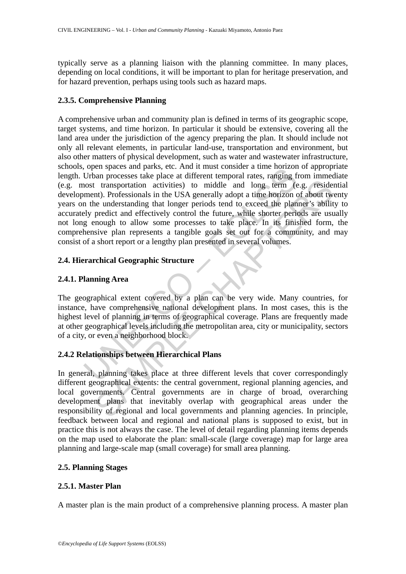typically serve as a planning liaison with the planning committee. In many places, depending on local conditions, it will be important to plan for heritage preservation, and for hazard prevention, perhaps using tools such as hazard maps.

# **2.3.5. Comprehensive Planning**

The spaces and parts, etc. And it must consisted at alme indication<br>Urban processes take place at different temporal rates, ranging fi<br>Ont transportation activities) to middle and long term (ement). Professionals in the US It transportation activities) to middle and long term (e.g. resident). Professionals in the USA generally adopt a time horizon of about twe understanding that longer periods tend to exceed the planner's ability predict and A comprehensive urban and community plan is defined in terms of its geographic scope, target systems, and time horizon. In particular it should be extensive, covering all the land area under the jurisdiction of the agency preparing the plan. It should include not only all relevant elements, in particular land-use, transportation and environment, but also other matters of physical development, such as water and wastewater infrastructure, schools, open spaces and parks, etc. And it must consider a time horizon of appropriate length. Urban processes take place at different temporal rates, ranging from immediate (e.g. most transportation activities) to middle and long term (e.g. residential development). Professionals in the USA generally adopt a time horizon of about twenty years on the understanding that longer periods tend to exceed the planner's ability to accurately predict and effectively control the future, while shorter periods are usually not long enough to allow some processes to take place. In its finished form, the comprehensive plan represents a tangible goals set out for a community, and may consist of a short report or a lengthy plan presented in several volumes.

# **2.4. Hierarchical Geographic Structure**

# **2.4.1. Planning Area**

The geographical extent covered by a plan can be very wide. Many countries, for instance, have comprehensive national development plans. In most cases, this is the highest level of planning in terms of geographical coverage. Plans are frequently made at other geographical levels including the metropolitan area, city or municipality, sectors of a city, or even a neighborhood block.

# **2.4.2 Relationships between Hierarchical Plans**

In general, planning takes place at three different levels that cover correspondingly different geographical extents: the central government, regional planning agencies, and local governments. Central governments are in charge of broad, overarching development plans that inevitably overlap with geographical areas under the responsibility of regional and local governments and planning agencies. In principle, feedback between local and regional and national plans is supposed to exist, but in practice this is not always the case. The level of detail regarding planning items depends on the map used to elaborate the plan: small-scale (large coverage) map for large area planning and large-scale map (small coverage) for small area planning.

# **2.5. Planning Stages**

# **2.5.1. Master Plan**

A master plan is the main product of a comprehensive planning process. A master plan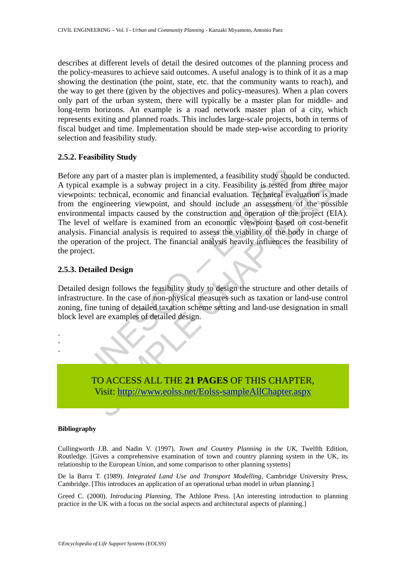describes at different levels of detail the desired outcomes of the planning process and the policy-measures to achieve said outcomes. A useful analogy is to think of it as a map showing the destination (the point, state, etc. that the community wants to reach), and the way to get there (given by the objectives and policy-measures). When a plan covers only part of the urban system, there will typically be a master plan for middle- and long-term horizons. An example is a road network master plan of a city, which represents exiting and planned roads. This includes large-scale projects, both in terms of fiscal budget and time. Implementation should be made step-wise according to priority selection and feasibility study.

#### **2.5.2. Feasibility Study**

any part of a master plan is implemented, a feasibility study shoul<br>al example is a subway project in a city. Feasibility is tested from<br>the either the conomic and financial evaluation. Technical evalue<br>e engineering viewp Example is a subway project in a city. Feasibility is tested from three m<br>
Section that is a subway project in a city. Feasibility is tested from three m<br>
technical, economic and financial evaluation. Technical evaluation Before any part of a master plan is implemented, a feasibility study should be conducted. A typical example is a subway project in a city. Feasibility is tested from three major viewpoints: technical, economic and financial evaluation. Technical evaluation is made from the engineering viewpoint, and should include an assessment of the possible environmental impacts caused by the construction and operation of the project (EIA). The level of welfare is examined from an economic viewpoint based on cost-benefit analysis. Financial analysis is required to assess the viability of the body in charge of the operation of the project. The financial analysis heavily influences the feasibility of the project.

#### **2.5.3. Detailed Design**

Detailed design follows the feasibility study to design the structure and other details of infrastructure. In the case of non-physical measures such as taxation or land-use control zoning, fine tuning of detailed taxation scheme setting and land-use designation in small block level are examples of detailed design.



#### **Bibliography**

- - -

Cullingworth J.B. and Nadin V. (1997). *Town and Country Planning in the UK*, Twelfth Edition, Routledge. [Gives a comprehensive examination of town and country planning system in the UK, its relationship to the European Union, and some comparison to other planning systems]

De la Barra T. (1989). *Integrated Land Use and Transport Modelling*, Cambridge University Press, Cambridge. [This introduces an application of an operational urban model in urban planning.]

Greed C. (2000). *Introducing Planning*, The Athlone Press. [An interesting introduction to planning practice in the UK with a focus on the social aspects and architectural aspects of planning.]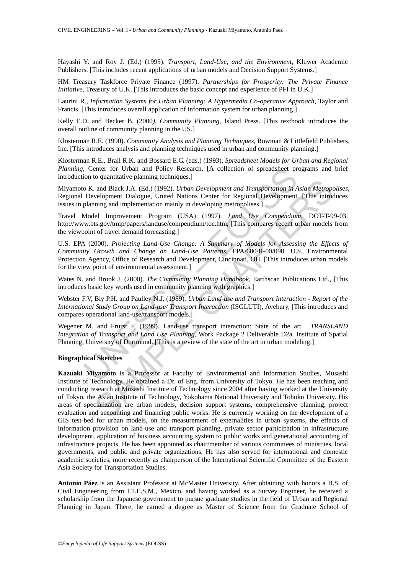Hayashi Y. and Roy J. (Ed.) (1995). *Transport, Land-Use, and the Environment*, Kluwer Academic Publishers. [This includes recent applications of urban models and Decision Support Systems.]

HM Treasury Taskforce Private Finance (1997). *Partnerships for Prosperity: The Private Finance Initiative*, Treasury of U.K. [This introduces the basic concept and experience of PFI in U.K.]

Laurini R., *Information Systems for Urban Planning: A Hypermedia Co-operative Approach*, Taylor and Francis. [This introduces overall application of information system for urban planning.]

Kelly E.D. and Becker B. (2000*). Community Planning*, Island Press. [This textbook introduces the overall outline of community planning in the US.]

Klosterman R.E. (1990). *Community Analysis and Planning Techniques*, Rowman & Littlefield Publishers, Inc. [This introduces analysis and planning techniques used in urban and community planning.]

Klosterman R.E., Brail R.K. and Bossard E.G. (eds.) (1993). *Spreadsheet Models for Urban and Regional Planning*, Center for Urban and Policy Research. [A collection of spreadsheet programs and brief introduction to quantitative planning techniques.]

Miyamoto K. and Black J.A. (Ed.) (1992). *Urban Development and Transportation in Asian Metropolises*, Regional Development Dialogue, United Nations Center for Regional Development. [This introduces issues in planning and implementation mainly in developing metropolises.]

Travel Model Improvement Program (USA) (1997). *Land Use Compendium*, DOT-T-99-03. http://www.bts.gov/tmip/papers/landuse/compendium/toc.htm, [This compares recent urban models from the viewpoint of travel demand forecasting.]

Center for Urban and Policy Research. [A collection of spreadsheet proton to quantitative planning techniques.]<br>
O. K. and Black J.A. (Ed.) (1992). *Urban Development and Transportation in A* Development Dialogue, United U.S. EPA (2000). *Projecting Land-Use Change: A Summary of Models for Assessing the Effects of Community Growth and Change on Land-Use Patterns*, EPA/600/R-00/098. U.S. Environmental Protection Agency, Office of Research and Development, Cincinnati, OH. [This introduces urban models for the view point of environmental assessment.]

Wates N. and Brook J. (2000). *The Community Planning Handbook*, Earthscan Publications Ltd., [This introduces basic key words used in community planning with graphics.]

Webster F.V, Bly P.H. and Paulley N.J. (1989). *Urban Land-use and Transport Interaction - Report of the International Study Group on Land-use/ Transport Interaction* (ISGLUTI), Avebury, [This introduces and compares operational land-use/transport models.]

Wegener M. and Frurst F. (1999). Land-use transport interaction: State of the art. *TRANSLAND Integration of Transport and Land Use Planning*, Work Package 2 Deliverable D2a. Institute of Spatial Planning, University of Dortmund. [This is a review of the state of the art in urban modeling.]

#### **Biographical Sketches**

or stationary examing eventual Transportation in Asian Metropology<br>and Black J.A. (Ed.) (1992). *Urban Development and Transportation in Asian Metropology*<br>evelopment Dialogue, United Nations Center for Regional Developmen **Kazuaki Miyamoto** is a Professor at Faculty of Environmental and Information Studies, Musashi Institute of Technology. He obtained a Dr. of Eng. from University of Tokyo. He has been teaching and conducting research at Musashi Institute of Technology since 2004 after having worked at the University of Tokyo, the Asian Institute of Technology, Yokohama National University and Tohoku University. His areas of specialization are urban models, decision support systems, comprehensive planning, project evaluation and accounting and financing public works. He is currently working on the development of a GIS test-bed for urban models, on the measurement of externalities in urban systems, the effects of information provision on land-use and transport planning, private sector participation in infrastructure development, application of business accounting system to public works and generational accounting of infrastructure projects. He has been appointed as chair/member of various committees of ministries, local governments, and public and private organizations. He has also served for international and domestic academic societies, more recently as chairperson of the International Scientific Committee of the Eastern Asia Society for Transportation Studies.

**Antonio Páez** is an Assistant Professor at McMaster University. After obtaining with honors a B.S. of Civil Engineering from I.T.E.S.M., Mexico, and having worked as a Survey Engineer, he received a scholarship from the Japanese government to pursue graduate studies in the field of Urban and Regional Planning in Japan. There, he earned a degree as Master of Science from the Graduate School of